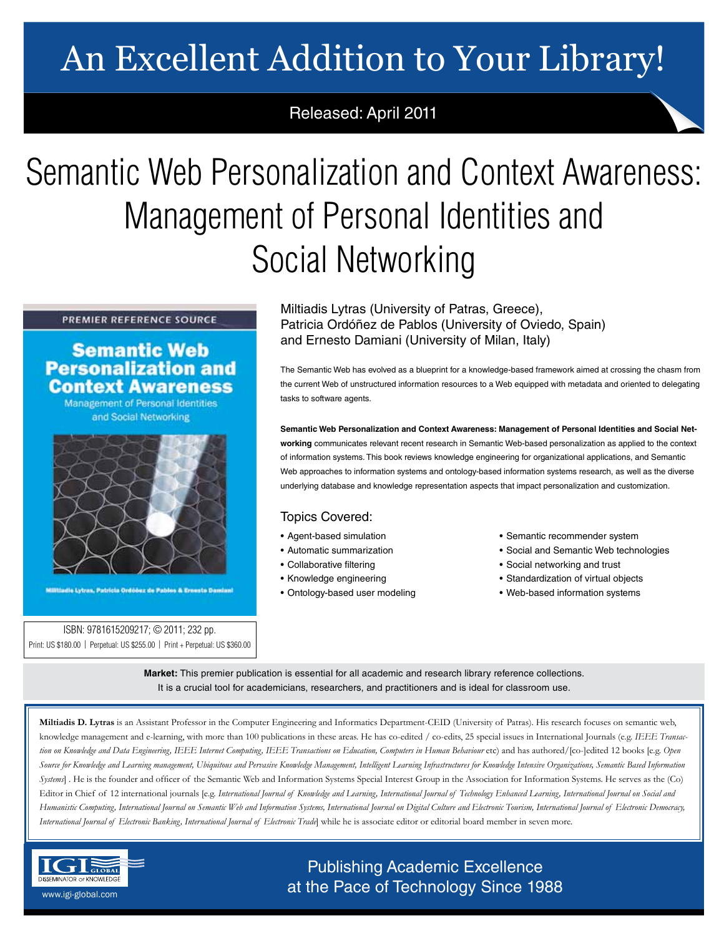# An Excellent Addition to Your Library!

## Released: April 2011

# Semantic Web Personalization and Context Awareness: Management of Personal Identities and Social Networking

### PREMIER REFERENCE SOURCE

## **Semantic Web Personalization and Context Awareness**

Management of Personal Identities and Social Networking



dia Lytran, Patricia Ordóòez de Pablos & Ernesta Damian

ISBN: 9781615209217; © 2011; 232 pp. Print: US \$180.00 | Perpetual: US \$255.00 | Print + Perpetual: US \$360.00 Miltiadis Lytras (University of Patras, Greece), Patricia Ordóñez de Pablos (University of Oviedo, Spain) and Ernesto Damiani (University of Milan, Italy)

The Semantic Web has evolved as a blueprint for a knowledge-based framework aimed at crossing the chasm from the current Web of unstructured information resources to a Web equipped with metadata and oriented to delegating tasks to software agents.

**Semantic Web Personalization and Context Awareness: Management of Personal Identities and Social Networking** communicates relevant recent research in Semantic Web-based personalization as applied to the context of information systems. This book reviews knowledge engineering for organizational applications, and Semantic Web approaches to information systems and ontology-based information systems research, as well as the diverse underlying database and knowledge representation aspects that impact personalization and customization.

## Topics Covered:

- Agent-based simulation
- Automatic summarization
- Collaborative filtering
- Knowledge engineering
- Ontology-based user modeling
- Semantic recommender system
- Social and Semantic Web technologies
- Social networking and trust
- Standardization of virtual objects
- Web-based information systems

**Market:** This premier publication is essential for all academic and research library reference collections. It is a crucial tool for academicians, researchers, and practitioners and is ideal for classroom use.

**Miltiadis D. Lytras** is an Assistant Professor in the Computer Engineering and Informatics Department-CEID (University of Patras). His research focuses on semantic web, knowledge management and e-learning, with more than 100 publications in these areas. He has co-edited / co-edits, 25 special issues in International Journals (e.g. *IEEE Transaction on Knowledge and Data Engineering, IEEE Internet Computing, IEEE Transactions on Education, Computers in Human Behaviour* etc) and has authored/[co-]edited 12 books [e.g. *Open Source for Knowledge and Learning management, Ubiquitous and Pervasive Knowledge Management, Intelligent Learning Infrastructures for Knowledge Intensive Organizations, Semantic Based Information Systems*] . He is the founder and officer of the Semantic Web and Information Systems Special Interest Group in the Association for Information Systems. He serves as the (Co) Editor in Chief of 12 international journals [e.g. *International Journal of Knowledge and Learning, International Journal of Technology Enhanced Learning, International Journal on Social and Humanistic Computing, International Journal on Semantic Web and Information Systems, International Journal on Digital Culture and Electronic Tourism, International Journal of Electronic Democracy, International Journal of Electronic Banking, International Journal of Electronic Trade*] while he is associate editor or editorial board member in seven more.



Publishing Academic Excellence **ALSEMINATOR OF KNOWLEDGE CONCEDUTE CONCEDUTE CONCEDUTE CONCEDUTE CONCEDUTE CONCEDUTE CONCEDUTE CONCEDUTE CONCE**